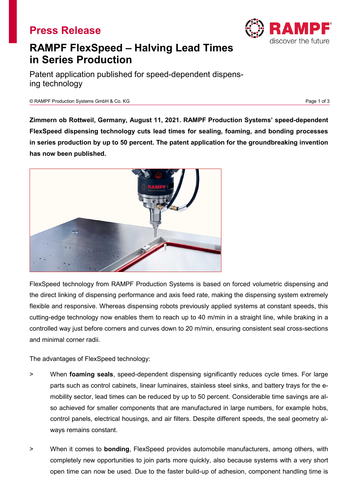## **Press Release**



Patent application published for speed-dependent dispensing technology

© RAMPF Production Systems GmbH & Co. KG Page 1 of 3

**Zimmern ob Rottweil, Germany, August 11, 2021. RAMPF Production Systems' speed-dependent FlexSpeed dispensing technology cuts lead times for sealing, foaming, and bonding processes in series production by up to 50 percent. The patent application for the groundbreaking invention has now been published.**



FlexSpeed technology from RAMPF Production Systems is based on forced volumetric dispensing and the direct linking of dispensing performance and axis feed rate, making the dispensing system extremely flexible and responsive. Whereas dispensing robots previously applied systems at constant speeds, this cutting-edge technology now enables them to reach up to 40 m/min in a straight line, while braking in a controlled way just before corners and curves down to 20 m/min, ensuring consistent seal cross-sections and minimal corner radii.

The advantages of FlexSpeed technology:

- > When **foaming seals**, speed-dependent dispensing significantly reduces cycle times. For large parts such as control cabinets, linear luminaires, stainless steel sinks, and battery trays for the emobility sector, lead times can be reduced by up to 50 percent. Considerable time savings are also achieved for smaller components that are manufactured in large numbers, for example hobs, control panels, electrical housings, and air filters. Despite different speeds, the seal geometry always remains constant.
- > When it comes to **bonding**, FlexSpeed provides automobile manufacturers, among others, with completely new opportunities to join parts more quickly, also because systems with a very short open time can now be used. Due to the faster build-up of adhesion, component handling time is

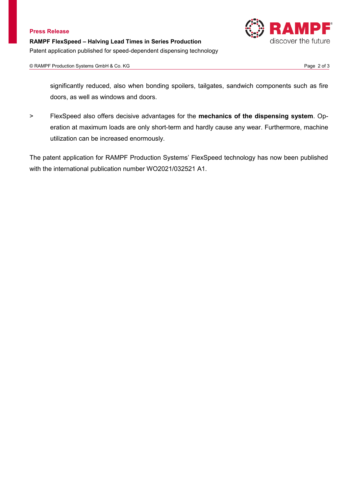

significantly reduced, also when bonding spoilers, tailgates, sandwich components such as fire doors, as well as windows and doors.

> FlexSpeed also offers decisive advantages for the **mechanics of the dispensing system**. Operation at maximum loads are only short-term and hardly cause any wear. Furthermore, machine utilization can be increased enormously.

The patent application for RAMPF Production Systems' FlexSpeed technology has now been published with the international publication number WO2021/032521 A1.